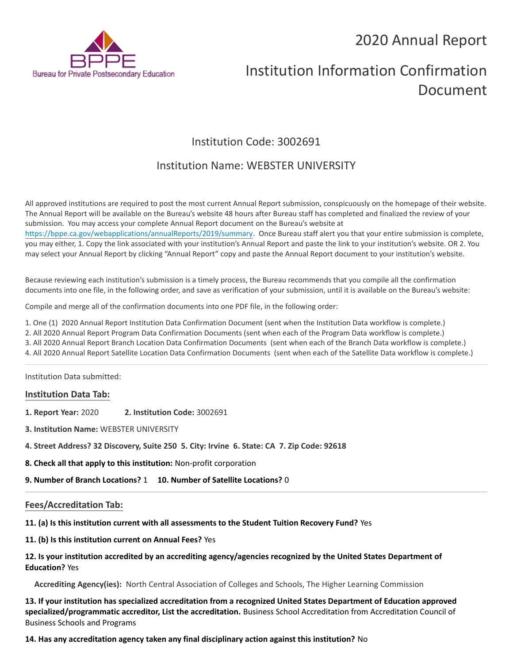# 2020 Annual Report



# Institution Information Confirmation Document

# Institution Code: 3002691

# Institution Name: WEBSTER UNIVERSITY

All approved institutions are required to post the most current Annual Report submission, conspicuously on the homepage of their website. The Annual Report will be available on the Bureau's website 48 hours after Bureau staff has completed and finalized the review of your submission. You may access your complete Annual Report document on the Bureau's website at <https://bppe.ca.gov/webapplications/annualReports/2019/summary>. Once Bureau staff alert you that your entire submission is complete, you may either, 1. Copy the link associated with your institution's Annual Report and paste the link to your institution's website. OR 2. You may select your Annual Report by clicking "Annual Report" copy and paste the Annual Report document to your institution's website.

Because reviewing each institution's submission is a timely process, the Bureau recommends that you compile all the confirmation documents into one file, in the following order, and save as verification of your submission, until it is available on the Bureau's website:

Compile and merge all of the confirmation documents into one PDF file, in the following order:

1. One (1) 2020 Annual Report Institution Data Confirmation Document (sent when the Institution Data workflow is complete.)

2. All 2020 Annual Report Program Data Confirmation Documents (sent when each of the Program Data workflow is complete.)

3. All 2020 Annual Report Branch Location Data Confirmation Documents (sent when each of the Branch Data workflow is complete.)

4. All 2020 Annual Report Satellite Location Data Confirmation Documents (sent when each of the Satellite Data workflow is complete.)

Institution Data submitted:

# **Institution Data Tab:**

- **1. Report Year:** 2020 **2. Institution Code:** 3002691
- **3. Institution Name:** WEBSTER UNIVERSITY
- **4. Street Address? 32 Discovery, Suite 250 5. City: Irvine 6. State: CA 7. Zip Code: 92618**
- **8. Check all that apply to this institution:** Non-profit corporation

**9. Number of Branch Locations?** 1 **10. Number of Satellite Locations?** 0

# **Fees/Accreditation Tab:**

**11. (a) Is this institution current with all assessments to the Student Tuition Recovery Fund?** Yes

**11. (b) Is this institution current on Annual Fees?** Yes

### **12. Is your institution accredited by an accrediting agency/agencies recognized by the United States Department of Education?** Yes

**Accrediting Agency(ies):** North Central Association of Colleges and Schools, The Higher Learning Commission

**13. If your institution has specialized accreditation from a recognized United States Department of Education approved specialized/programmatic accreditor, List the accreditation.** Business School Accreditation from Accreditation Council of Business Schools and Programs

**14. Has any accreditation agency taken any final disciplinary action against this institution?** No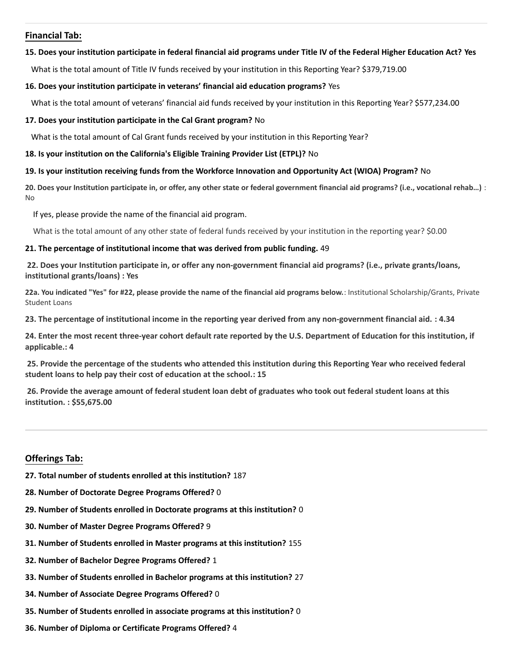## **Financial Tab:**

#### **15. Does your institution participate in federal financial aid programs under Title IV of the Federal Higher Education Act? Yes**

What is the total amount of Title IV funds received by your institution in this Reporting Year? \$379,719.00

#### **16. Does your institution participate in veterans' financial aid education programs?** Yes

What is the total amount of veterans' financial aid funds received by your institution in this Reporting Year? \$577,234.00

#### **17. Does your institution participate in the Cal Grant program?** No

What is the total amount of Cal Grant funds received by your institution in this Reporting Year?

#### **18. Is your institution on the California's Eligible Training Provider List (ETPL)?** No

#### **19. Is your institution receiving funds from the Workforce Innovation and Opportunity Act (WIOA) Program?** No

**20. Does your Institution participate in, or offer, any other state or federal government financial aid programs? (i.e., vocational rehab…)** : No

If yes, please provide the name of the financial aid program.

What is the total amount of any other state of federal funds received by your institution in the reporting year? \$0.00

#### **21. The percentage of institutional income that was derived from public funding.** 49

**22. Does your Institution participate in, or offer any non-government financial aid programs? (i.e., private grants/loans, institutional grants/loans) : Yes**

**22a. You indicated "Yes" for #22, please provide the name of the financial aid programs below.**: Institutional Scholarship/Grants, Private Student Loans

**23. The percentage of institutional income in the reporting year derived from any non-government financial aid. : 4.34**

**24. Enter the most recent three-year cohort default rate reported by the U.S. Department of Education for this institution, if applicable.: 4**

**25. Provide the percentage of the students who attended this institution during this Reporting Year who received federal student loans to help pay their cost of education at the school.: 15**

**26. Provide the average amount of federal student loan debt of graduates who took out federal student loans at this institution. : \$55,675.00**

# **Offerings Tab:**

- **27. Total number of students enrolled at this institution?** 187
- **28. Number of Doctorate Degree Programs Offered?** 0
- **29. Number of Students enrolled in Doctorate programs at this institution?** 0
- **30. Number of Master Degree Programs Offered?** 9
- **31. Number of Students enrolled in Master programs at this institution?** 155
- **32. Number of Bachelor Degree Programs Offered?** 1
- **33. Number of Students enrolled in Bachelor programs at this institution?** 27
- **34. Number of Associate Degree Programs Offered?** 0
- **35. Number of Students enrolled in associate programs at this institution?** 0
- **36. Number of Diploma or Certificate Programs Offered?** 4